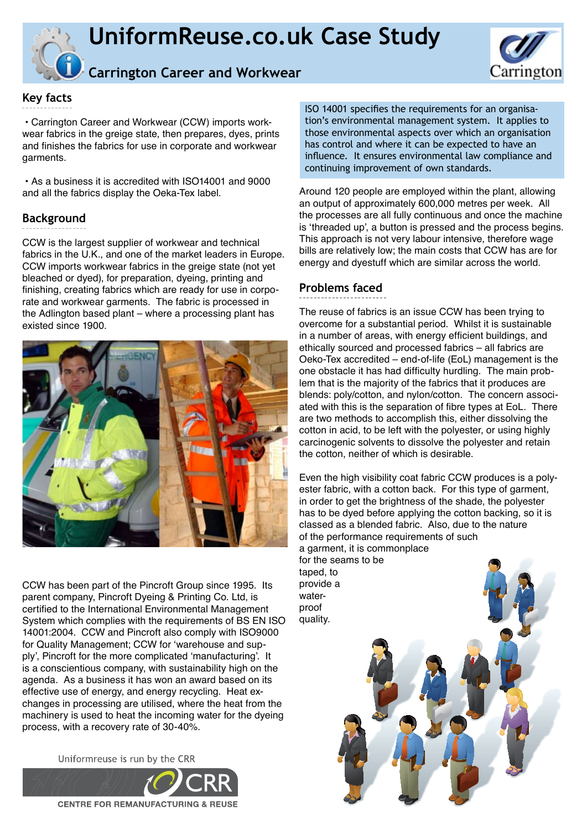



# **Carrington Career and Workwear**

## **Key facts**

 • Carrington Career and Workwear (CCW) imports workwear fabrics in the greige state, then prepares, dyes, prints and finishes the fabrics for use in corporate and workwear garments.

 • As a business it is accredited with ISO14001 and 9000 and all the fabrics display the Oeka-Tex label.

## **Background**

CCW is the largest supplier of workwear and technical fabrics in the U.K., and one of the market leaders in Europe. CCW imports workwear fabrics in the greige state (not yet bleached or dyed), for preparation, dyeing, printing and finishing, creating fabrics which are ready for use in corporate and workwear garments. The fabric is processed in the Adlington based plant – where a processing plant has existed since 1900.



CCW has been part of the Pincroft Group since 1995. Its parent company, Pincroft Dyeing & Printing Co. Ltd, is certified to the International Environmental Management System which complies with the requirements of BS EN ISO 14001:2004. CCW and Pincroft also comply with ISO9000 for Quality Management; CCW for 'warehouse and supply', Pincroft for the more complicated 'manufacturing'. It is a conscientious company, with sustainability high on the agenda. As a business it has won an award based on its effective use of energy, and energy recycling. Heat exchanges in processing are utilised, where the heat from the machinery is used to heat the incoming water for the dyeing process, with a recovery rate of 30-40%.

Uniformreuse is run by the CRR



ISO 14001 specifies the requirements for an organisation's environmental management system. It applies to those environmental aspects over which an organisation has control and where it can be expected to have an influence. It ensures environmental law compliance and continuing improvement of own standards.

Around 120 people are employed within the plant, allowing an output of approximately 600,000 metres per week. All the processes are all fully continuous and once the machine is 'threaded up', a button is pressed and the process begins. This approach is not very labour intensive, therefore wage bills are relatively low; the main costs that CCW has are for energy and dyestuff which are similar across the world.

## **Problems faced**

The reuse of fabrics is an issue CCW has been trying to overcome for a substantial period. Whilst it is sustainable in a number of areas, with energy efficient buildings, and ethically sourced and processed fabrics – all fabrics are Oeko-Tex accredited – end-of-life (EoL) management is the one obstacle it has had difficulty hurdling. The main problem that is the majority of the fabrics that it produces are blends: poly/cotton, and nylon/cotton. The concern associated with this is the separation of fibre types at EoL. There are two methods to accomplish this, either dissolving the cotton in acid, to be left with the polyester, or using highly carcinogenic solvents to dissolve the polyester and retain the cotton, neither of which is desirable.

Even the high visibility coat fabric CCW produces is a polyester fabric, with a cotton back. For this type of garment, in order to get the brightness of the shade, the polyester has to be dyed before applying the cotton backing, so it is classed as a blended fabric. Also, due to the nature of the performance requirements of such a garment, it is commonplace

for the seams to be taped, to provide a waterproof quality.